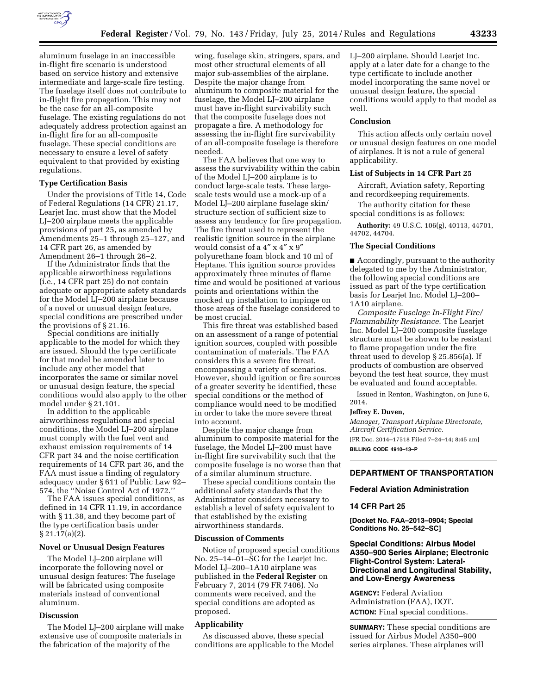

aluminum fuselage in an inaccessible in-flight fire scenario is understood based on service history and extensive intermediate and large-scale fire testing. The fuselage itself does not contribute to in-flight fire propagation. This may not be the case for an all-composite fuselage. The existing regulations do not adequately address protection against an in-flight fire for an all-composite fuselage. These special conditions are necessary to ensure a level of safety equivalent to that provided by existing regulations.

# **Type Certification Basis**

Under the provisions of Title 14, Code of Federal Regulations (14 CFR) 21.17, Learjet Inc. must show that the Model LJ–200 airplane meets the applicable provisions of part 25, as amended by Amendments 25–1 through 25–127, and 14 CFR part 26, as amended by Amendment 26–1 through 26–2.

If the Administrator finds that the applicable airworthiness regulations (i.e., 14 CFR part 25) do not contain adequate or appropriate safety standards for the Model LJ–200 airplane because of a novel or unusual design feature, special conditions are prescribed under the provisions of § 21.16.

Special conditions are initially applicable to the model for which they are issued. Should the type certificate for that model be amended later to include any other model that incorporates the same or similar novel or unusual design feature, the special conditions would also apply to the other model under § 21.101.

In addition to the applicable airworthiness regulations and special conditions, the Model LJ–200 airplane must comply with the fuel vent and exhaust emission requirements of 14 CFR part 34 and the noise certification requirements of 14 CFR part 36, and the FAA must issue a finding of regulatory adequacy under § 611 of Public Law 92– 574, the ''Noise Control Act of 1972.''

The FAA issues special conditions, as defined in 14 CFR 11.19, in accordance with § 11.38, and they become part of the type certification basis under § 21.17(a)(2).

#### **Novel or Unusual Design Features**

The Model LJ–200 airplane will incorporate the following novel or unusual design features: The fuselage will be fabricated using composite materials instead of conventional aluminum.

# **Discussion**

The Model LJ–200 airplane will make extensive use of composite materials in the fabrication of the majority of the

wing, fuselage skin, stringers, spars, and most other structural elements of all major sub-assemblies of the airplane. Despite the major change from aluminum to composite material for the fuselage, the Model LJ–200 airplane must have in-flight survivability such that the composite fuselage does not propagate a fire. A methodology for assessing the in-flight fire survivability of an all-composite fuselage is therefore needed.

The FAA believes that one way to assess the survivability within the cabin of the Model LJ–200 airplane is to conduct large-scale tests. These largescale tests would use a mock-up of a Model LJ–200 airplane fuselage skin/ structure section of sufficient size to assess any tendency for fire propagation. The fire threat used to represent the realistic ignition source in the airplane would consist of a 4″ x 4″ x 9″ polyurethane foam block and 10 ml of Heptane. This ignition source provides approximately three minutes of flame time and would be positioned at various points and orientations within the mocked up installation to impinge on those areas of the fuselage considered to be most crucial.

This fire threat was established based on an assessment of a range of potential ignition sources, coupled with possible contamination of materials. The FAA considers this a severe fire threat, encompassing a variety of scenarios. However, should ignition or fire sources of a greater severity be identified, these special conditions or the method of compliance would need to be modified in order to take the more severe threat into account.

Despite the major change from aluminum to composite material for the fuselage, the Model LJ–200 must have in-flight fire survivability such that the composite fuselage is no worse than that of a similar aluminum structure.

These special conditions contain the additional safety standards that the Administrator considers necessary to establish a level of safety equivalent to that established by the existing airworthiness standards.

## **Discussion of Comments**

Notice of proposed special conditions No. 25–14–01–SC for the Learjet Inc. Model LJ–200–1A10 airplane was published in the **Federal Register** on February 7, 2014 (79 FR 7406). No comments were received, and the special conditions are adopted as proposed.

## **Applicability**

As discussed above, these special conditions are applicable to the Model LJ–200 airplane. Should Learjet Inc. apply at a later date for a change to the type certificate to include another model incorporating the same novel or unusual design feature, the special conditions would apply to that model as well.

#### **Conclusion**

This action affects only certain novel or unusual design features on one model of airplanes. It is not a rule of general applicability.

## **List of Subjects in 14 CFR Part 25**

Aircraft, Aviation safety, Reporting and recordkeeping requirements.

The authority citation for these special conditions is as follows:

**Authority:** 49 U.S.C. 106(g), 40113, 44701, 44702, 44704.

#### **The Special Conditions**

■ Accordingly, pursuant to the authority delegated to me by the Administrator, the following special conditions are issued as part of the type certification basis for Learjet Inc. Model LJ–200– 1A10 airplane.

*Composite Fuselage In-Flight Fire/ Flammability Resistance.* The Learjet Inc. Model LJ–200 composite fuselage structure must be shown to be resistant to flame propagation under the fire threat used to develop § 25.856(a). If products of combustion are observed beyond the test heat source, they must be evaluated and found acceptable.

Issued in Renton, Washington, on June 6, 2014.

# **Jeffrey E. Duven,**

*Manager, Transport Airplane Directorate, Aircraft Certification Service.*  [FR Doc. 2014–17518 Filed 7–24–14; 8:45 am] **BILLING CODE 4910–13–P** 

# **DEPARTMENT OF TRANSPORTATION**

## **Federal Aviation Administration**

# **14 CFR Part 25**

**[Docket No. FAA–2013–0904; Special Conditions No. 25–542–SC]** 

# **Special Conditions: Airbus Model A350–900 Series Airplane; Electronic Flight-Control System: Lateral-Directional and Longitudinal Stability, and Low-Energy Awareness**

**AGENCY:** Federal Aviation Administration (FAA), DOT. **ACTION:** Final special conditions.

**SUMMARY:** These special conditions are issued for Airbus Model A350–900 series airplanes. These airplanes will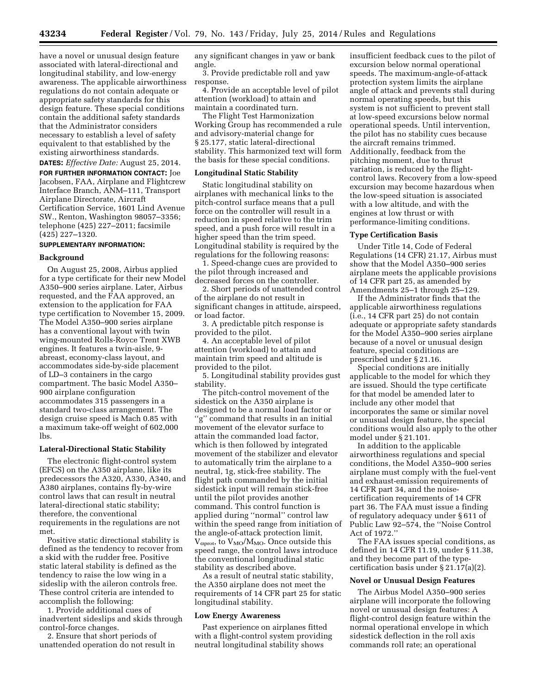have a novel or unusual design feature associated with lateral-directional and longitudinal stability, and low-energy awareness. The applicable airworthiness regulations do not contain adequate or appropriate safety standards for this design feature. These special conditions contain the additional safety standards that the Administrator considers necessary to establish a level of safety equivalent to that established by the existing airworthiness standards.

**DATES:** *Effective Date:* August 25, 2014.

**FOR FURTHER INFORMATION CONTACT:** Joe Jacobsen, FAA, Airplane and Flightcrew Interface Branch, ANM–111, Transport Airplane Directorate, Aircraft Certification Service, 1601 Lind Avenue SW., Renton, Washington 98057–3356; telephone (425) 227–2011; facsimile (425) 227–1320.

## **SUPPLEMENTARY INFORMATION:**

#### **Background**

On August 25, 2008, Airbus applied for a type certificate for their new Model A350–900 series airplane. Later, Airbus requested, and the FAA approved, an extension to the application for FAA type certification to November 15, 2009. The Model A350–900 series airplane has a conventional layout with twin wing-mounted Rolls-Royce Trent XWB engines. It features a twin-aisle, 9 abreast, economy-class layout, and accommodates side-by-side placement of LD–3 containers in the cargo compartment. The basic Model A350– 900 airplane configuration accommodates 315 passengers in a standard two-class arrangement. The design cruise speed is Mach 0.85 with a maximum take-off weight of 602,000 lbs.

#### **Lateral-Directional Static Stability**

The electronic flight-control system (EFCS) on the A350 airplane, like its predecessors the A320, A330, A340, and A380 airplanes, contains fly-by-wire control laws that can result in neutral lateral-directional static stability; therefore, the conventional requirements in the regulations are not met.

Positive static directional stability is defined as the tendency to recover from a skid with the rudder free. Positive static lateral stability is defined as the tendency to raise the low wing in a sideslip with the aileron controls free. These control criteria are intended to accomplish the following:

1. Provide additional cues of inadvertent sideslips and skids through control-force changes.

2. Ensure that short periods of unattended operation do not result in any significant changes in yaw or bank angle.

3. Provide predictable roll and yaw response.

4. Provide an acceptable level of pilot attention (workload) to attain and maintain a coordinated turn.

The Flight Test Harmonization Working Group has recommended a rule and advisory-material change for § 25.177, static lateral-directional stability. This harmonized text will form the basis for these special conditions.

### **Longitudinal Static Stability**

Static longitudinal stability on airplanes with mechanical links to the pitch-control surface means that a pull force on the controller will result in a reduction in speed relative to the trim speed, and a push force will result in a higher speed than the trim speed. Longitudinal stability is required by the regulations for the following reasons:

1. Speed-change cues are provided to the pilot through increased and decreased forces on the controller.

2. Short periods of unattended control of the airplane do not result in significant changes in attitude, airspeed, or load factor.

3. A predictable pitch response is provided to the pilot.

4. An acceptable level of pilot attention (workload) to attain and maintain trim speed and altitude is provided to the pilot.

5. Longitudinal stability provides gust stability.

The pitch-control movement of the sidestick on the A350 airplane is designed to be a normal load factor or ''g'' command that results in an initial movement of the elevator surface to attain the commanded load factor, which is then followed by integrated movement of the stabilizer and elevator to automatically trim the airplane to a neutral, 1g, stick-free stability. The flight path commanded by the initial sidestick input will remain stick-free until the pilot provides another command. This control function is applied during ''normal'' control law within the speed range from initiation of the angle-of-attack protection limit,  $V_{\alpha\text{prot}}$ , to  $V_{\text{MO}}/M_{\text{MO}}$ . Once outside this speed range, the control laws introduce the conventional longitudinal static stability as described above.

As a result of neutral static stability, the A350 airplane does not meet the requirements of 14 CFR part 25 for static longitudinal stability.

## **Low Energy Awareness**

Past experience on airplanes fitted with a flight-control system providing neutral longitudinal stability shows

insufficient feedback cues to the pilot of excursion below normal operational speeds. The maximum-angle-of-attack protection system limits the airplane angle of attack and prevents stall during normal operating speeds, but this system is not sufficient to prevent stall at low-speed excursions below normal operational speeds. Until intervention, the pilot has no stability cues because the aircraft remains trimmed. Additionally, feedback from the pitching moment, due to thrust variation, is reduced by the flightcontrol laws. Recovery from a low-speed excursion may become hazardous when the low-speed situation is associated with a low altitude, and with the engines at low thrust or with performance-limiting conditions.

## **Type Certification Basis**

Under Title 14, Code of Federal Regulations (14 CFR) 21.17, Airbus must show that the Model A350–900 series airplane meets the applicable provisions of 14 CFR part 25, as amended by Amendments 25–1 through 25–129.

If the Administrator finds that the applicable airworthiness regulations (i.e., 14 CFR part 25) do not contain adequate or appropriate safety standards for the Model A350–900 series airplane because of a novel or unusual design feature, special conditions are prescribed under § 21.16.

Special conditions are initially applicable to the model for which they are issued. Should the type certificate for that model be amended later to include any other model that incorporates the same or similar novel or unusual design feature, the special conditions would also apply to the other model under § 21.101.

In addition to the applicable airworthiness regulations and special conditions, the Model A350–900 series airplane must comply with the fuel-vent and exhaust-emission requirements of 14 CFR part 34, and the noisecertification requirements of 14 CFR part 36. The FAA must issue a finding of regulatory adequacy under § 611 of Public Law 92–574, the ''Noise Control Act of 1972.''

The FAA issues special conditions, as defined in 14 CFR 11.19, under § 11.38, and they become part of the typecertification basis under § 21.17(a)(2).

## **Novel or Unusual Design Features**

The Airbus Model A350–900 series airplane will incorporate the following novel or unusual design features: A flight-control design feature within the normal operational envelope in which sidestick deflection in the roll axis commands roll rate; an operational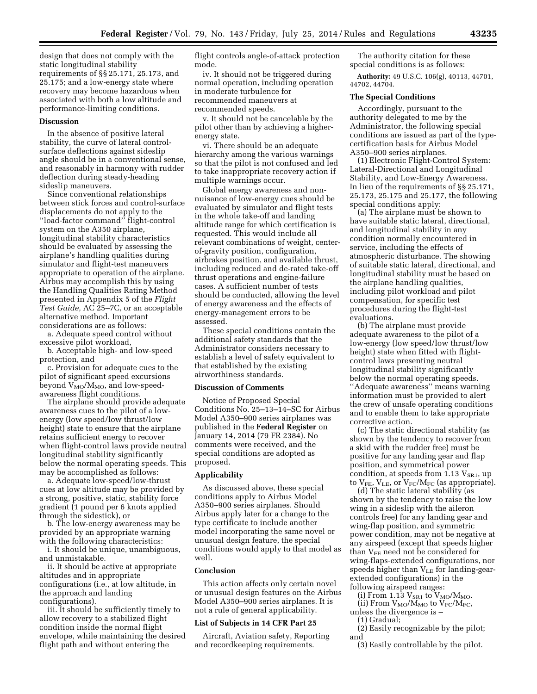design that does not comply with the static longitudinal stability requirements of §§ 25.171, 25.173, and 25.175; and a low-energy state where recovery may become hazardous when associated with both a low altitude and performance-limiting conditions.

#### **Discussion**

In the absence of positive lateral stability, the curve of lateral controlsurface deflections against sideslip angle should be in a conventional sense, and reasonably in harmony with rudder deflection during steady-heading sideslip maneuvers.

Since conventional relationships between stick forces and control-surface displacements do not apply to the ''load-factor command'' flight-control system on the A350 airplane, longitudinal stability characteristics should be evaluated by assessing the airplane's handling qualities during simulator and flight-test maneuvers appropriate to operation of the airplane. Airbus may accomplish this by using the Handling Qualities Rating Method presented in Appendix 5 of the *Flight Test Guide,* AC 25–7C, or an acceptable alternative method. Important considerations are as follows:

a. Adequate speed control without excessive pilot workload,

b. Acceptable high- and low-speed protection, and

c. Provision for adequate cues to the pilot of significant speed excursions beyond  $V_{MO}/M_{MO}$ , and low-speedawareness flight conditions.

The airplane should provide adequate awareness cues to the pilot of a lowenergy (low speed/low thrust/low height) state to ensure that the airplane retains sufficient energy to recover when flight-control laws provide neutral longitudinal stability significantly below the normal operating speeds. This may be accomplished as follows:

a. Adequate low-speed/low-thrust cues at low altitude may be provided by a strong, positive, static, stability force gradient (1 pound per 6 knots applied through the sidestick), or

b. The low-energy awareness may be provided by an appropriate warning with the following characteristics:

i. It should be unique, unambiguous, and unmistakable.

ii. It should be active at appropriate altitudes and in appropriate configurations (i.e., at low altitude, in the approach and landing configurations).

iii. It should be sufficiently timely to allow recovery to a stabilized flight condition inside the normal flight envelope, while maintaining the desired flight path and without entering the

flight controls angle-of-attack protection mode.

iv. It should not be triggered during normal operation, including operation in moderate turbulence for recommended maneuvers at recommended speeds.

v. It should not be cancelable by the pilot other than by achieving a higherenergy state.

vi. There should be an adequate hierarchy among the various warnings so that the pilot is not confused and led to take inappropriate recovery action if multiple warnings occur.

Global energy awareness and nonnuisance of low-energy cues should be evaluated by simulator and flight tests in the whole take-off and landing altitude range for which certification is requested. This would include all relevant combinations of weight, centerof-gravity position, configuration, airbrakes position, and available thrust, including reduced and de-rated take-off thrust operations and engine-failure cases. A sufficient number of tests should be conducted, allowing the level of energy awareness and the effects of energy-management errors to be assessed.

These special conditions contain the additional safety standards that the Administrator considers necessary to establish a level of safety equivalent to that established by the existing airworthiness standards.

#### **Discussion of Comments**

Notice of Proposed Special Conditions No. 25–13–14–SC for Airbus Model A350–900 series airplanes was published in the **Federal Register** on January 14, 2014 (79 FR 2384). No comments were received, and the special conditions are adopted as proposed.

### **Applicability**

As discussed above, these special conditions apply to Airbus Model A350–900 series airplanes. Should Airbus apply later for a change to the type certificate to include another model incorporating the same novel or unusual design feature, the special conditions would apply to that model as well.

#### **Conclusion**

This action affects only certain novel or unusual design features on the Airbus Model A350–900 series airplanes. It is not a rule of general applicability.

## **List of Subjects in 14 CFR Part 25**

Aircraft, Aviation safety, Reporting and recordkeeping requirements.

The authority citation for these special conditions is as follows:

**Authority:** 49 U.S.C. 106(g), 40113, 44701, 44702, 44704.

## **The Special Conditions**

Accordingly, pursuant to the authority delegated to me by the Administrator, the following special conditions are issued as part of the typecertification basis for Airbus Model A350–900 series airplanes.

(1) Electronic Flight-Control System: Lateral-Directional and Longitudinal Stability, and Low-Energy Awareness. In lieu of the requirements of §§ 25.171, 25.173, 25.175 and 25.177, the following special conditions apply:

(a) The airplane must be shown to have suitable static lateral, directional, and longitudinal stability in any condition normally encountered in service, including the effects of atmospheric disturbance. The showing of suitable static lateral, directional, and longitudinal stability must be based on the airplane handling qualities, including pilot workload and pilot compensation, for specific test procedures during the flight-test evaluations.

(b) The airplane must provide adequate awareness to the pilot of a low-energy (low speed/low thrust/low height) state when fitted with flightcontrol laws presenting neutral longitudinal stability significantly below the normal operating speeds. ''Adequate awareness'' means warning information must be provided to alert the crew of unsafe operating conditions and to enable them to take appropriate corrective action.

(c) The static directional stability (as shown by the tendency to recover from a skid with the rudder free) must be positive for any landing gear and flap position, and symmetrical power condition, at speeds from 1.13  $V_{SR1}$ , up to  $V_{FE}$ ,  $V_{LE}$ , or  $V_{FC}/M_{FC}$  (as appropriate).

(d) The static lateral stability (as shown by the tendency to raise the low wing in a sideslip with the aileron controls free) for any landing gear and wing-flap position, and symmetric power condition, may not be negative at any airspeed (except that speeds higher than  $V_{FE}$  need not be considered for wing-flaps-extended configurations, nor speeds higher than  $V_{LE}$  for landing-gearextended configurations) in the following airspeed ranges:

(i) From 1.13  $V_{SR1}$  to  $V_{MO}/M_{MO}$ .

(ii) From  $V_{MO}/M_{MO}$  to  $V_{FC}/M_{FC}$ , unless the divergence is –

(1) Gradual;

(2) Easily recognizable by the pilot; and

(3) Easily controllable by the pilot.